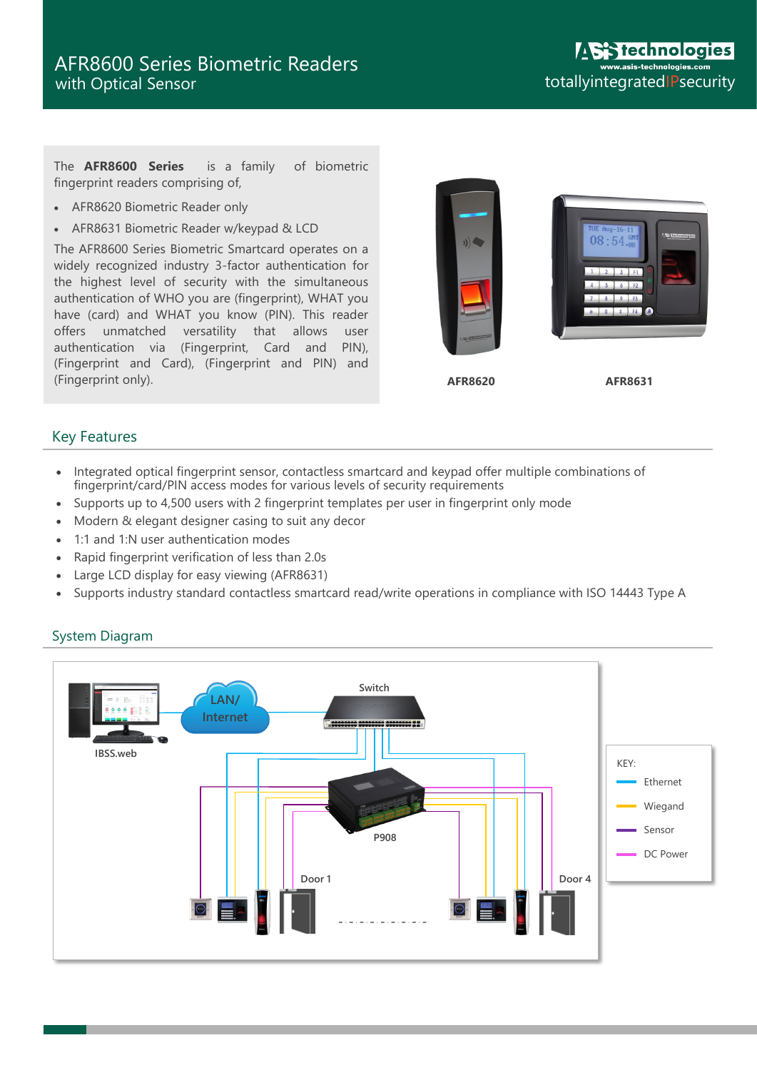The **AFR8600 Series** is a family of biometric fingerprint readers comprising of,

- AFR8620 Biometric Reader only
- AFR8631 Biometric Reader w/keypad & LCD

The AFR8600 Series Biometric Smartcard operates on a widely recognized industry 3-factor authentication for the highest level of security with the simultaneous authentication of WHO you are (fingerprint), WHAT you have (card) and WHAT you know (PIN). This reader offers unmatched versatility that allows user authentication via (Fingerprint, Card and PIN), (Fingerprint and Card), (Fingerprint and PIN) and (Fingerprint only).



## Key Features

- Integrated optical fingerprint sensor, contactless smartcard and keypad offer multiple combinations of fingerprint/card/PIN access modes for various levels of security requirements
- Supports up to 4,500 users with 2 fingerprint templates per user in fingerprint only mode
- Modern & elegant designer casing to suit any decor
- 1:1 and 1:N user authentication modes
- Rapid fingerprint verification of less than 2.0s
- Large LCD display for easy viewing (AFR8631)
- Supports industry standard contactless smartcard read/write operations in compliance with ISO 14443 Type A



## System Diagram